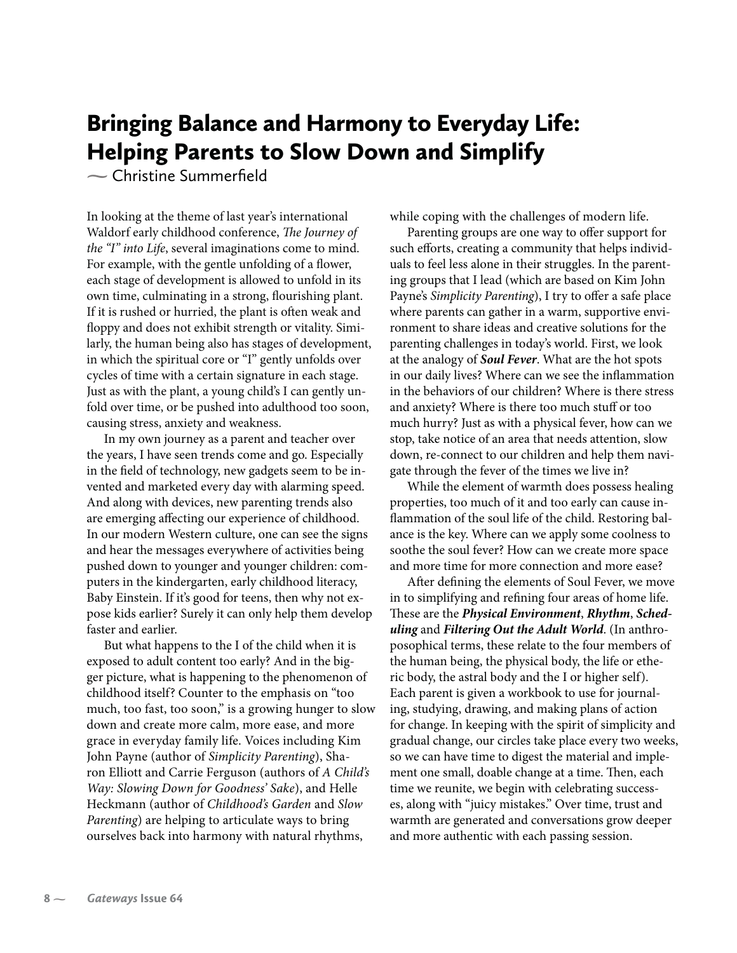# Bringing Balance and Harmony to Everyday Life: Helping Parents to Slow Down and Simplify

**-** Christine Summerfield

In looking at the theme of last year's international Waldorf early childhood conference, The Journey of the "I" into Life, several imaginations come to mind. For example, with the gentle unfolding of a flower, each stage of development is allowed to unfold in its own time, culminating in a strong, flourishing plant. If it is rushed or hurried, the plant is often weak and floppy and does not exhibit strength or vitality. Similarly, the human being also has stages of development, in which the spiritual core or "I" gently unfolds over cycles of time with a certain signature in each stage. Just as with the plant, a young child's I can gently unfold over time, or be pushed into adulthood too soon, causing stress, anxiety and weakness.

In my own journey as a parent and teacher over the years, I have seen trends come and go. Especially in the field of technology, new gadgets seem to be invented and marketed every day with alarming speed. And along with devices, new parenting trends also are emerging affecting our experience of childhood. In our modern Western culture, one can see the signs and hear the messages everywhere of activities being pushed down to younger and younger children: computers in the kindergarten, early childhood literacy, Baby Einstein. If it's good for teens, then why not expose kids earlier? Surely it can only help them develop faster and earlier.

But what happens to the I of the child when it is exposed to adult content too early? And in the bigger picture, what is happening to the phenomenon of childhood itself? Counter to the emphasis on "too much, too fast, too soon," is a growing hunger to slow down and create more calm, more ease, and more grace in everyday family life. Voices including Kim John Payne (author of Simplicity Parenting), Sharon Elliott and Carrie Ferguson (authors of A Child's Way: Slowing Down for Goodness' Sake), and Helle Heckmann (author of Childhood's Garden and Slow Parenting) are helping to articulate ways to bring ourselves back into harmony with natural rhythms,

while coping with the challenges of modern life.

Parenting groups are one way to offer support for such efforts, creating a community that helps individuals to feel less alone in their struggles. In the parenting groups that I lead (which are based on Kim John Payne's Simplicity Parenting), I try to offer a safe place where parents can gather in a warm, supportive environment to share ideas and creative solutions for the parenting challenges in today's world. First, we look at the analogy of *Soul Fever*. What are the hot spots in our daily lives? Where can we see the inflammation in the behaviors of our children? Where is there stress and anxiety? Where is there too much stuff or too much hurry? Just as with a physical fever, how can we stop, take notice of an area that needs attention, slow down, re-connect to our children and help them navigate through the fever of the times we live in?

While the element of warmth does possess healing properties, too much of it and too early can cause inflammation of the soul life of the child. Restoring balance is the key. Where can we apply some coolness to soothe the soul fever? How can we create more space and more time for more connection and more ease?

After defining the elements of Soul Fever, we move in to simplifying and refining four areas of home life. These are the *Physical Environment*, *Rhythm*, *Scheduling* and *Filtering Out the Adult World*. (In anthroposophical terms, these relate to the four members of the human being, the physical body, the life or etheric body, the astral body and the I or higher self). Each parent is given a workbook to use for journaling, studying, drawing, and making plans of action for change. In keeping with the spirit of simplicity and gradual change, our circles take place every two weeks, so we can have time to digest the material and implement one small, doable change at a time. Then, each time we reunite, we begin with celebrating successes, along with "juicy mistakes." Over time, trust and warmth are generated and conversations grow deeper and more authentic with each passing session.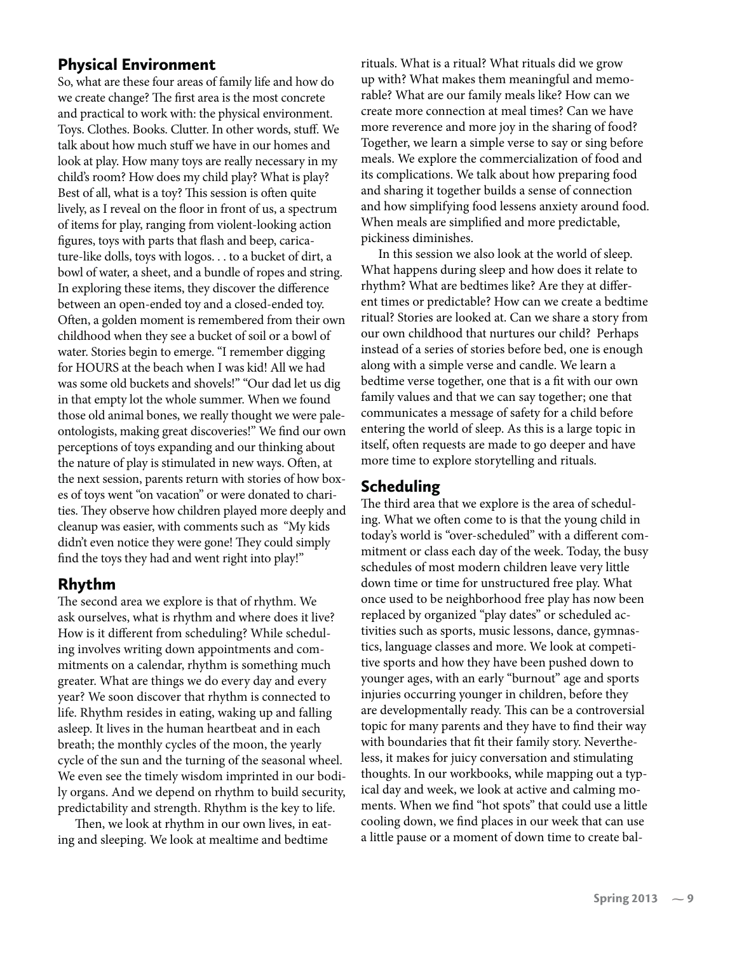#### Physical Environment

So, what are these four areas of family life and how do we create change? The first area is the most concrete and practical to work with: the physical environment. Toys. Clothes. Books. Clutter. In other words, stuff. We talk about how much stuff we have in our homes and look at play. How many toys are really necessary in my child's room? How does my child play? What is play? Best of all, what is a toy? This session is often quite lively, as I reveal on the floor in front of us, a spectrum of items for play, ranging from violent-looking action figures, toys with parts that flash and beep, caricature-like dolls, toys with logos. . . to a bucket of dirt, a bowl of water, a sheet, and a bundle of ropes and string. In exploring these items, they discover the difference between an open-ended toy and a closed-ended toy. Often, a golden moment is remembered from their own childhood when they see a bucket of soil or a bowl of water. Stories begin to emerge. "I remember digging for HOURS at the beach when I was kid! All we had was some old buckets and shovels!" "Our dad let us dig in that empty lot the whole summer. When we found those old animal bones, we really thought we were paleontologists, making great discoveries!" We find our own perceptions of toys expanding and our thinking about the nature of play is stimulated in new ways. Often, at the next session, parents return with stories of how boxes of toys went "on vacation" or were donated to charities. They observe how children played more deeply and cleanup was easier, with comments such as "My kids didn't even notice they were gone! They could simply find the toys they had and went right into play!"

## Rhythm

The second area we explore is that of rhythm. We ask ourselves, what is rhythm and where does it live? How is it different from scheduling? While scheduling involves writing down appointments and commitments on a calendar, rhythm is something much greater. What are things we do every day and every year? We soon discover that rhythm is connected to life. Rhythm resides in eating, waking up and falling asleep. It lives in the human heartbeat and in each breath; the monthly cycles of the moon, the yearly cycle of the sun and the turning of the seasonal wheel. We even see the timely wisdom imprinted in our bodily organs. And we depend on rhythm to build security, predictability and strength. Rhythm is the key to life.

Then, we look at rhythm in our own lives, in eating and sleeping. We look at mealtime and bedtime

rituals. What is a ritual? What rituals did we grow up with? What makes them meaningful and memorable? What are our family meals like? How can we create more connection at meal times? Can we have more reverence and more joy in the sharing of food? Together, we learn a simple verse to say or sing before meals. We explore the commercialization of food and its complications. We talk about how preparing food and sharing it together builds a sense of connection and how simplifying food lessens anxiety around food. When meals are simplified and more predictable, pickiness diminishes.

In this session we also look at the world of sleep. What happens during sleep and how does it relate to rhythm? What are bedtimes like? Are they at different times or predictable? How can we create a bedtime ritual? Stories are looked at. Can we share a story from our own childhood that nurtures our child? Perhaps instead of a series of stories before bed, one is enough along with a simple verse and candle. We learn a bedtime verse together, one that is a fit with our own family values and that we can say together; one that communicates a message of safety for a child before entering the world of sleep. As this is a large topic in itself, often requests are made to go deeper and have more time to explore storytelling and rituals.

## Scheduling

The third area that we explore is the area of scheduling. What we often come to is that the young child in today's world is "over-scheduled" with a different commitment or class each day of the week. Today, the busy schedules of most modern children leave very little down time or time for unstructured free play. What once used to be neighborhood free play has now been replaced by organized "play dates" or scheduled activities such as sports, music lessons, dance, gymnastics, language classes and more. We look at competitive sports and how they have been pushed down to younger ages, with an early "burnout" age and sports injuries occurring younger in children, before they are developmentally ready. This can be a controversial topic for many parents and they have to find their way with boundaries that fit their family story. Nevertheless, it makes for juicy conversation and stimulating thoughts. In our workbooks, while mapping out a typical day and week, we look at active and calming moments. When we find "hot spots" that could use a little cooling down, we find places in our week that can use a little pause or a moment of down time to create bal